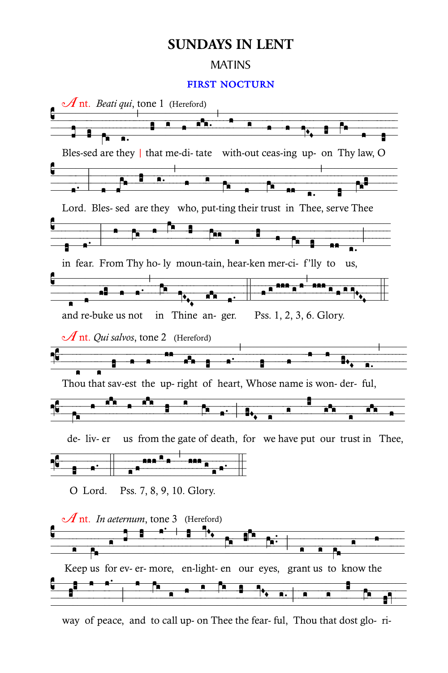## **SUNDAYS IN LENT**

## **MATINS**

## **FIRST NOCTURN**



way of peace, and to call up- on Thee the fear- ful, Thou that dost glo-ri-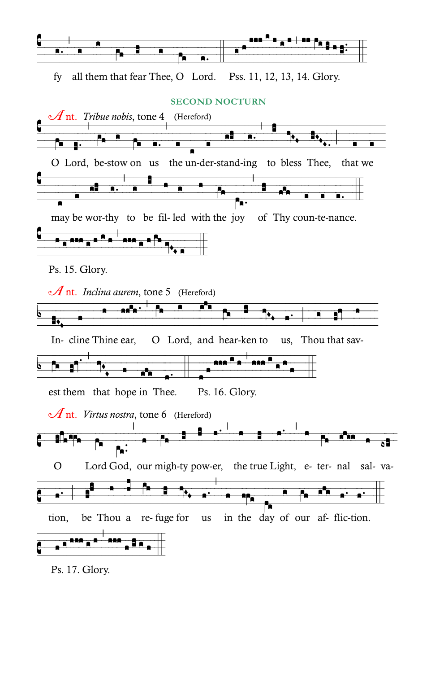

Ps. 17. Glory.